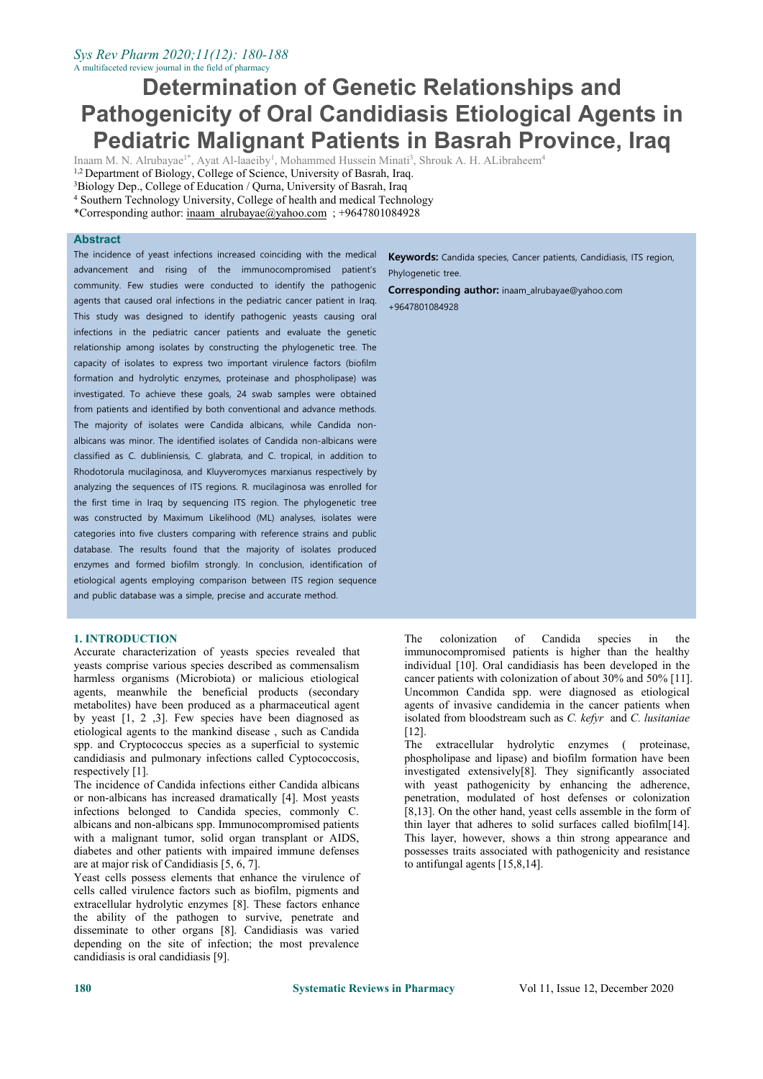# *Sys Rev Pharm 2020;11(12): 180-188*

# A multifaceted review journal inthe field of pharmacy

# **Determination of Genetic Relationships and Pathogenicity of Oral Candidiasis Etiological Agents in Pediatric Malignant Patients in Basrah Province, Iraq**

Inaam M. N. Alrubayae<sup>1\*</sup>, Ayat Al-laaeiby<sup>1</sup>, Mohammed Hussein Minati<sup>3</sup>, Shrouk A. H. ALibraheem<sup>4</sup>

<sup>1,2</sup> Department of Biology, College of Science, University of Basrah, Iraq.

<sup>3</sup>Biology Dep., College of Education / Qurna, University of Basrah, Iraq

<sup>4</sup> Southern Technology University, College of health and medical Technology

\*Corresponding author: [inaam\\_alrubayae@yahoo.com](mailto:inaam_alrubayae@yahoo.com) ; +9647801084928

# **Abstract**

The incidence of yeast infections increased coinciding with the medical advancement and rising of the immunocompromised patient's community. Few studies were conducted to identify the pathogenic agents that caused oral infections in the pediatric cancer patient in Iraq. This study was designed to identify pathogenic yeasts causing oral infections in the pediatric cancer patients and evaluate the genetic relationship among isolates by constructing the phylogenetic tree. The capacity of isolates to express two important virulence factors (biofilm formation and hydrolytic enzymes, proteinase and phospholipase) was investigated. To achieve these goals, 24 swab samples were obtained from patients and identified by both conventional and advance methods. The majority of isolates were Candida albicans, while Candida non albicans was minor. The identified isolates of Candida non-albicans were classified as C. dubliniensis, C. glabrata, and C. tropical, in addition to Rhodotorula mucilaginosa, and Kluyveromyces marxianus respectively by analyzing the sequences of ITS regions. R. mucilaginosa was enrolled for the first time in Iraq by sequencing ITS region. The phylogenetic tree was constructed by Maximum Likelihood (ML) analyses, isolates were categories into five clusters comparing with reference strains and public database. The results found that the majority of isolates produced enzymes and formed biofilm strongly. In conclusion, identification of etiological agents employing comparison between ITS region sequence and public database was a simple, precise and accurate method.

# **1. INTRODUCTION**

Accurate characterization of yeasts species revealed that yeasts comprise various species described as commensalism harmless organisms (Microbiota) or malicious etiological agents, meanwhile the beneficial products (secondary metabolites) have been produced as a pharmaceutical agent by yeast [1, 2 ,3]. Few species have been diagnosed as etiological agents to the mankind disease , such as Candida spp. and Cryptococcus species as a superficial to systemic candidiasis and pulmonary infections called Cyptococcosis, respectively [1].

The incidence of Candida infections either Candida albicans or non-albicans has increased dramatically [4]. Most yeasts infections belonged to Candida species, commonly C. albicans and non-albicans spp. Immunocompromised patients with a malignant tumor, solid organ transplant or AIDS, diabetes and other patients with impaired immune defenses are at major risk of Candidiasis [5, 6, 7].

Yeast cells possess elements that enhance the virulence of cells called virulence factors such as biofilm, pigments and extracellular hydrolytic enzymes [8]. These factors enhance the ability of the pathogen to survive, penetrate and disseminate to other organs [8]. Candidiasis was varied depending on the site of infection; the most prevalence candidiasis is oral candidiasis [9].

**Keywords:** Candida species, Cancer patients, Candidiasis, ITS region, Phylogenetic tree.

**Corresponding author:** [inaam\\_alrubayae@yahoo.com](mailto:inaam_alrubayae@yahoo.com)

+9647801084928

The colonization of Candida species in the immunocompromised patients is higher than the healthy individual [10]. Oral candidiasis has been developed in the cancer patients with colonization of about 30% and 50% [11]. Uncommon Candida spp. were diagnosed as etiological agents of invasive candidemia in the cancer patients when isolated from bloodstream such as *C. kefyr* and *C. lusitaniae* [12].

extracellular hydrolytic enzymes ( proteinase, phospholipase and lipase) and biofilm formation have been investigated extensively[8]. They significantly associated with yeast pathogenicity by enhancing the adherence, penetration, modulated of host defenses or colonization [8,13]. On the other hand, yeast cells assemble in the form of thin layer that adheres to solid surfaces called biofilm[14]. This layer, however, shows a thin strong appearance and possesses traits associated with pathogenicity and resistance to antifungal agents [15,8,14].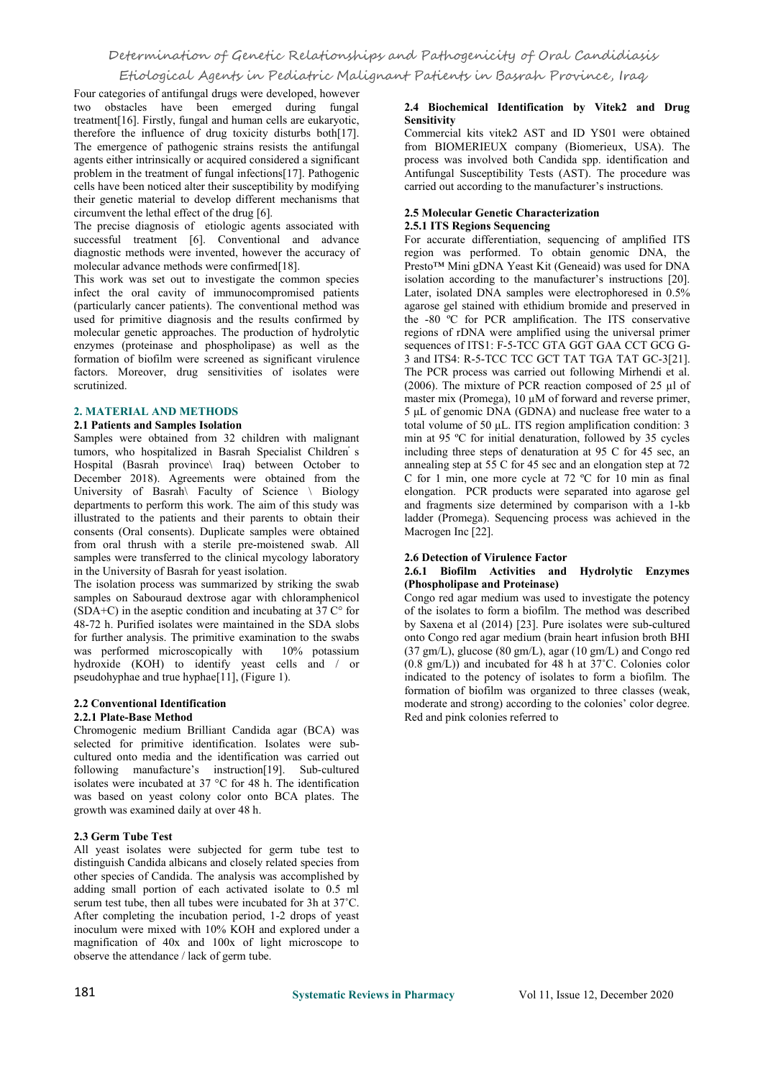# Determination of Genetic Relationships and Pathogenicity of Oral Candidiasis

Etiological Agents in Pediatric Malignant Patients in Basrah Province, Iraq

Four categories of antifungal drugs were developed, however two obstacles have been emerged during fungal treatment[16]. Firstly, fungal and human cells are eukaryotic, therefore the influence of drug toxicity disturbs both[17]. The emergence of pathogenic strains resists the antifungal agents either intrinsically or acquired considered a significant problem in the treatment of fungal infections[17]. Pathogenic cells have been noticed alter their susceptibility by modifying their genetic material to develop different mechanisms that circumvent the lethal effect of the drug [6].

The precise diagnosis of etiologic agents associated with successful treatment [6]. Conventional and advance diagnostic methods were invented, however the accuracy of molecular advance methods were confirmed[18].

This work was set out to investigate the common species infect the oral cavity of immunocompromised patients (particularly cancer patients). The conventional method was used for primitive diagnosis and the results confirmed by molecular genetic approaches. The production of hydrolytic enzymes (proteinase and phospholipase) as well as the formation of biofilm were screened as significant virulence factors. Moreover, drug sensitivities of isolates were scrutinized.

# **2. MATERIAL AND METHODS**

### **2.1 Patients and Samples Isolation**

Samples were obtained from 32 children with malignant tumors, who hospitalized in Basrah Specialist Children s Hospital (Basrah province\ Iraq) between October to December 2018). Agreements were obtained from the University of Basrah\ Faculty of Science \ Biology departments to perform this work.The aim of this study was illustrated to the patients and their parents to obtain their consents (Oral consents). Duplicate samples were obtained from oral thrush with a sterile pre-moistened swab. All samples were transferred to the clinical mycology laboratory in the University of Basrah for yeast isolation.

The isolation process was summarized by striking the swab samples on Sabouraud dextrose agar with chloramphenicol  $(SDA+C)$  in the aseptic condition and incubating at 37 C $\degree$  for 48-72 h. Purified isolates were maintained in the SDA slobs for further analysis. The primitive examination to the swabs<br>was performed microscopically with  $10\%$  potassium was performed microscopically with hydroxide (KOH) to identify yeast cells and / or pseudohyphae and true hyphae[11], (Figure 1).

#### **2.2 Conventional Identification 2.2.1 Plate-Base Method**

Chromogenic medium Brilliant Candida agar (BCA) was selected for primitive identification. Isolates were sub cultured onto media and the identification was carried out following manufacture's instruction[19]. Sub-cultured isolates were incubated at 37 °C for 48 h. The identification was based on yeast colony color onto BCA plates. Thegrowth was examined daily at over <sup>48</sup> h.

# **2.3 Germ Tube Test**

All yeast isolates were subjected for germ tube test to distinguish Candida albicans and closely related species from other species of Candida. The analysis was accomplished by adding small portion of each activated isolate to 0.5 ml serum test tube, then all tubes were incubated for 3h at 37˚C. After completing the incubation period, 1-2 drops of yeast inoculum were mixed with 10% KOH and explored under a magnification of 40x and 100x of light microscope to observe the attendance / lack of germ tube.

### **2.4 Biochemical Identification by Vitek2 and Drug Sensitivity**

Commercial kits vitek2 AST and ID YS01 were obtained from BIOMERIEUX company (Biomerieux, USA). The process was involved both Candida spp. identification and Antifungal Susceptibility Tests (AST). The procedure was carried out according to the manufacturer's instructions.

# **2.5 Molecular Genetic Characterization 2.5.1 ITS Regions Sequencing**

For accurate differentiation, sequencing of amplified ITS region was performed. To obtain genomic DNA, the Presto™ Mini gDNA Yeast Kit (Geneaid) was used for DNA isolation according to the manufacturer's instructions [20]. Later, isolated DNA samples were electrophoresed in 0.5% agarose gel stained with ethidium bromide and preserved in the -80 ºC for PCR amplification. The ITS conservative regions of rDNA were amplified using the universal primer sequences of ITS1: F-5-TCC GTA GGT GAA CCT GCG G-3 and ITS4: R-5-TCC TCC GCT TAT TGA TAT GC-3[21]. The PCR process was carried out following Mirhendi et al. (2006). The mixture of PCR reaction composed of 25 µl of master mix (Promega), 10  $\mu$ M of forward and reverse primer, 5 μL of genomic DNA (GDNA) and nuclease free water to a total volume of 50 μL. ITS region amplification condition: 3 min at 95 ºC for initial denaturation, followed by 35 cycles including three steps of denaturation at 95 C for 45 sec, an annealing step at 55 C for 45 secand an elongation step at 72 C for 1 min, one more cycle at 72 ºC for 10 min as final elongation. PCR products were separated into agarose gel and fragments size determined by comparison with a 1-kb ladder (Promega). Sequencing process was achieved in the Macrogen Inc [22].

# **2.6 Detection of Virulence Factor**

### **2.6.1 Biofilm Activities and Hydrolytic Enzymes (Phospholipase and Proteinase)**

Congo red agar medium was used to investigate the potency of the isolates to form a biofilm. The method was described by Saxena et al (2014) [23]. Pure isolates were sub-cultured onto Congo red agar medium (brain heart infusion broth BHI (37 gm/L), glucose (80 gm/L), agar (10 gm/L) and Congo red (0.8 gm/L)) and incubated for 48 h at 37˚C. Colonies color indicated to the potency of isolates to form a biofilm. The formation of biofilm was organized to three classes (weak, moderate and strong) according to the colonies' color degree. Red and pink colonies referred to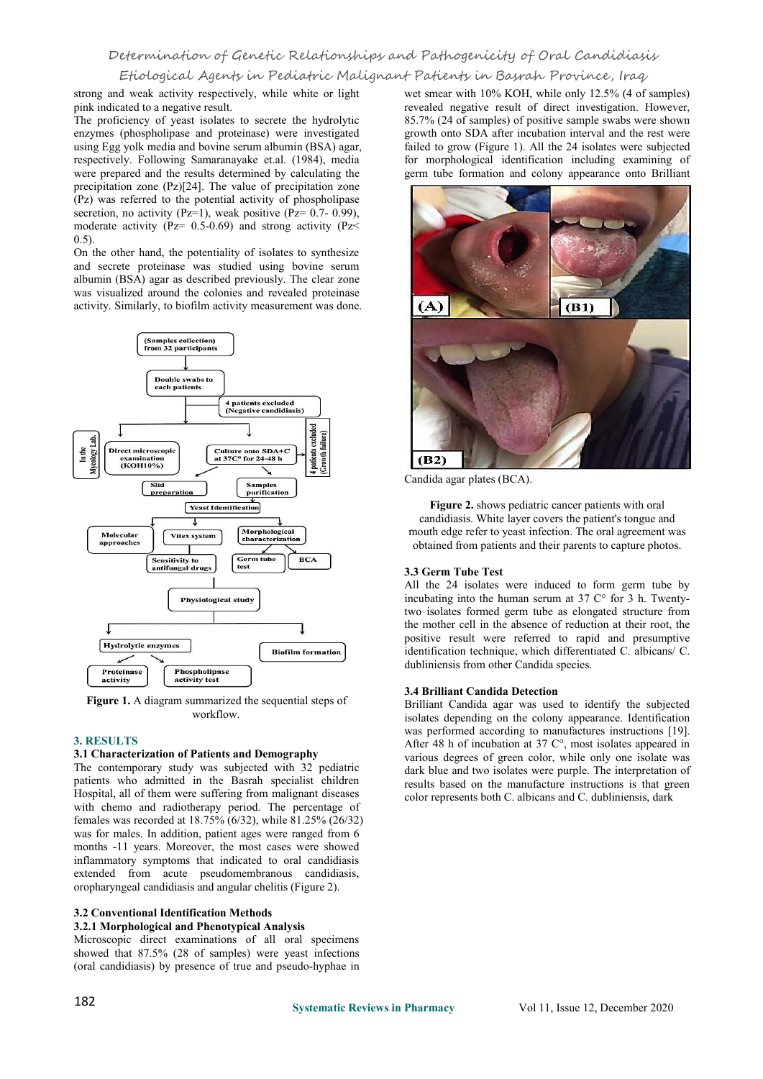strong and weak activity respectively, while white or light pink indicated to a negative result.

The proficiency of yeast isolates to secrete the hydrolytic enzymes (phospholipase and proteinase) were investigated using Egg yolk media and bovine serum albumin (BSA) agar, respectively. Following Samaranayake et.al. (1984), media were prepared and the results determined by calculating the precipitation zone (Pz)[24]. The value of precipitation zone (Pz) was referred to the potential activity of phospholipase secretion, no activity (Pz=1), weak positive (Pz=  $0.7-0.99$ ), moderate activity ( $Pz = 0.5{\text -}0.69$ ) and strong activity ( $Pz$ 0.5).

On the other hand, the potentiality of isolates to synthesize and secrete proteinase was studied using bovine serum albumin (BSA) agar as described previously. The clear zone was visualized around the colonies and revealed proteinase activity. Similarly, to biofilm activity measurement was done.



**Figure 1.** A diagram summarized the sequential steps of workflow.

# **3. RESULTS**

#### **3.1 Characterization of Patients and Demography**

The contemporary study was subjected with 32 pediatric patients who admitted in the Basrah specialist children Hospital, all of them were suffering from malignant diseases with chemo and radiotherapy period. The percentage of females was recorded at  $18.75\%$  (6/32), while  $81.25\%$  (26/32) was for males. In addition, patient ages were ranged from 6 months -11 years. Moreover, the most cases were showed inflammatory symptoms that indicated to oral candidiasis extended from acute pseudomembranous candidiasis, oropharyngeal candidiasis and angular chelitis (Figure 2).

### **3.2 Conventional Identification Methods**

#### **3.2.1 Morphological and Phenotypical Analysis**

Microscopic direct examinations of all oral specimens showed that 87.5% (28 of samples) were yeast infections (oral candidiasis) by presence of true and pseudo-hyphae in

wet smear with 10% KOH, while only 12.5% (4 of samples) revealed negative result of direct investigation. However, 85.7% (24 of samples) of positive sample swabs were shown growth onto SDA after incubation interval and the rest were failed to grow (Figure 1). All the 24 isolates were subjected for morphological identification including examining of germ tube formation and colony appearance onto Brilliant



Candida agar plates (BCA).

**Figure 2.** shows pediatric cancer patients with oral candidiasis. White layer covers the patient's tongue and mouth edge refer to yeast infection. The oral agreement was obtained from patients and their parents to capture photos.

### **3.3 Germ Tube Test**

All the 24 isolates were induced to form germ tube by incubating into the human serum at 37  $C^{\circ}$  for 3 h. Twentytwo isolates formed germ tube as elongated structure from the mother cell in the absence of reduction at their root, the positive result were referred to rapid and presumptive identification technique, which differentiated C. albicans/ C. dubliniensis from other Candida species.

#### **3.4 Brilliant Candida Detection**

Brilliant Candida agar was used to identify the subjected isolates depending on the colony appearance. Identification was performed according to manufactures instructions [19]. After 48 h of incubation at 37 C°, most isolates appeared in various degrees of green color, while only one isolate was dark blue and two isolates were purple. The interpretation of results based on the manufacture instructions is that green color represents both C. albicans and C. dubliniensis, dark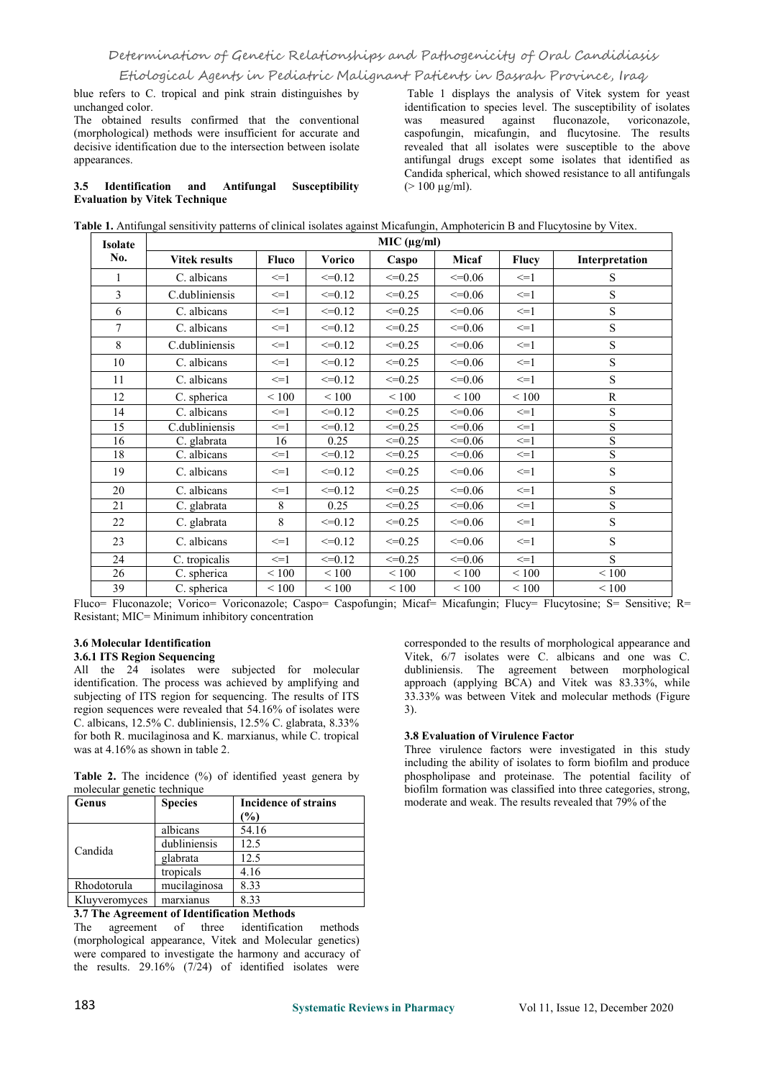blue refers to C. tropical and pink strain distinguishes by unchanged color.

The obtained results confirmed that the conventional (morphological) methods were insufficient for accurate and decisive identification due to the intersection between isolate appearances.

### **3.5 Identification and Antifungal Susceptibility Evaluation by Vitek Technique**

Table 1 displays the analysis of Vitek system for yeast identification to species level. The susceptibility of isolates was measured against fluconazole, voriconazole, caspofungin, micafungin, and flucytosine. The results revealed that all isolates were susceptible to the above antifungal drugs except some isolates that identified as Candida spherical, which showed resistance to all antifungals  $(> 100 \mu g/ml)$ .

| Table 1. Antifungal sensitivity patterns of clinical isolates against Micafungin, Amphotericin B and Flucytosine by Vitex. |  |
|----------------------------------------------------------------------------------------------------------------------------|--|
|                                                                                                                            |  |

| <b>Isolate</b> | MIC (µg/ml)          |                   |             |                 |             |                   |                |
|----------------|----------------------|-------------------|-------------|-----------------|-------------|-------------------|----------------|
| No.            | <b>Vitek results</b> | <b>Fluco</b>      | Vorico      | Caspo           | Micaf       | <b>Flucy</b>      | Interpretation |
| 1              | C. albicans          | $\leq$ $=$ 1      | $\leq=0.12$ | $\leq=0.25$     | $\leq=0.06$ | $\leq$ =1         | S              |
| 3              | C.dubliniensis       | $\leq$ $=$ $1$    | $\leq=0.12$ | $\leq=0.25$     | $\leq=0.06$ | $\leq$ $=$ 1      | S              |
| 6              | C. albicans          | $\leq$ $=$ $\geq$ | $\leq=0.12$ | $\leq=0.25$     | $\leq=0.06$ | $\leq$ $=$ 1      | S              |
| $\overline{7}$ | C. albicans          | $\leq$ -1         | $\leq=0.12$ | $\leq=0.25$     | $\leq=0.06$ | $\leq$ $=$ 1      | S              |
| 8              | C.dubliniensis       | $\leq$ =1         | $\leq=0.12$ | $\leq=0.25$     | $\leq=0.06$ | $\leq$ $=$ 1      | S              |
| 10             | C. albicans          | $\leq$ $=$ 1      | $\leq=0.12$ | $\leq=0.25$     | $\leq=0.06$ | $\leq$ $=$ 1      | S              |
| 11             | C. albicans          | $\leq$ $=$ 1      | $\leq=0.12$ | $\leq=0.25$     | $\leq=0.06$ | $\leq$ $=$ 1      | S              |
| 12             | C. spherica          | < 100             | < 100       | ${}_{\leq 100}$ | < 100       | $\leq 100$        | ${\bf R}$      |
| 14             | C. albicans          | $\leq$ $=$ 1      | $\leq=0.12$ | $\leq=0.25$     | $\leq=0.06$ | $\leq$ $=$ 1      | S              |
| 15             | C.dubliniensis       | $\leq$ $=$ 1      | $\leq=0.12$ | $\leq=0.25$     | $\leq=0.06$ | $\leq$ =1         | S              |
| 16             | C. glabrata          | 16                | 0.25        | $\leq=0.25$     | $\leq=0.06$ | $\leq$ $=$ 1      | S              |
| 18             | C. albicans          | $\leq$ $=$ $1$    | $\leq=0.12$ | $\leq=0.25$     | $\leq=0.06$ | $\leq$ $=$ $\geq$ | S              |
| 19             | C. albicans          | $\leq$ =1         | $\leq=0.12$ | $\leq=0.25$     | $\leq=0.06$ | $\leq$ -1         | S              |
| 20             | C. albicans          | $\leq$ $=$ $1$    | $\leq=0.12$ | $\leq=0.25$     | $\leq 0.06$ | $\leq$ $=$ 1      | S              |
| 21             | C. glabrata          | 8                 | 0.25        | $\leq 0.25$     | $\leq=0.06$ | $\leq$ $=$ 1      | S              |
| 22             | C. glabrata          | 8                 | $\leq=0.12$ | $\leq 0.25$     | $\leq=0.06$ | $\leq$ $=$ 1      | S              |
| 23             | C. albicans          | $\leq$ -1         | $\leq=0.12$ | $\leq=0.25$     | $\leq=0.06$ | $\leq$ $=$ 1      | S              |
| 24             | C. tropicalis        | $\leq$ -1         | $\leq=0.12$ | $\leq 0.25$     | $\leq=0.06$ | $\leq$ =1         | S              |
| 26             | C. spherica          | < 100             | < 100       | < 100           | < 100       | < 100             | < 100          |
| 39             | C. spherica          | < 100             | < 100       | < 100           | < 100       | < 100             | < 100          |

Fluco= Fluconazole; Vorico= Voriconazole; Caspo= Caspofungin; Micaf= Micafungin; Flucy= Flucytosine; S= Sensitive; R= Resistant; MIC= Minimum inhibitory concentration

### **3.6 Molecular Identification**

# **3.6.1 ITS Region Sequencing**

All the  $2\overline{4}$  isolates were subjected for molecular identification. The process was achieved by amplifying and subjecting of ITS region for sequencing. The results of ITS region sequences were revealed that 54.16% of isolates were C. albicans, 12.5% C. dubliniensis, 12.5% C. glabrata, 8.33% for both R. mucilaginosa and K. marxianus, while C. tropical was at 4.16% as shown in table 2.

**Table 2.** The incidence (%) of identified yeast genera by molecular genetic technique

| Genus         | <b>Species</b> | <b>Incidence of strains</b> | mo |
|---------------|----------------|-----------------------------|----|
|               |                | (%)                         |    |
| Candida       | albicans       | 54.16                       |    |
|               | dubliniensis   | 12.5                        |    |
|               | glabrata       | 12.5                        |    |
|               | tropicals      | 4.16                        |    |
| Rhodotorula   | mucilaginosa   | 8.33                        |    |
| Kluyveromyces | marxianus      | 8.33                        |    |

### **3.7 The Agreement of Identification Methods**

The agreement of three identification methods (morphological appearance, Vitek and Molecular genetics) were compared to investigate the harmony and accuracy of the results.  $29.16\%$  (7/24) of identified isolates were

corresponded to the results of morphological appearance and Vitek, 6/7 isolates were C. albicans and one was C. dubliniensis. The agreement between morphological approach (applying  $BCA$ ) and Vitek was 83.33%, while 33.33% was between Vitek and molecular methods (Figure 3).

### **3.8 Evaluation of Virulence Factor**

Three virulence factors were investigated in this study including the ability of isolates to form biofilm and produce phospholipase and proteinase. The potential facility of biofilm formation was classified into three categories, strong, moderate and weak. The results revealed that 79% of the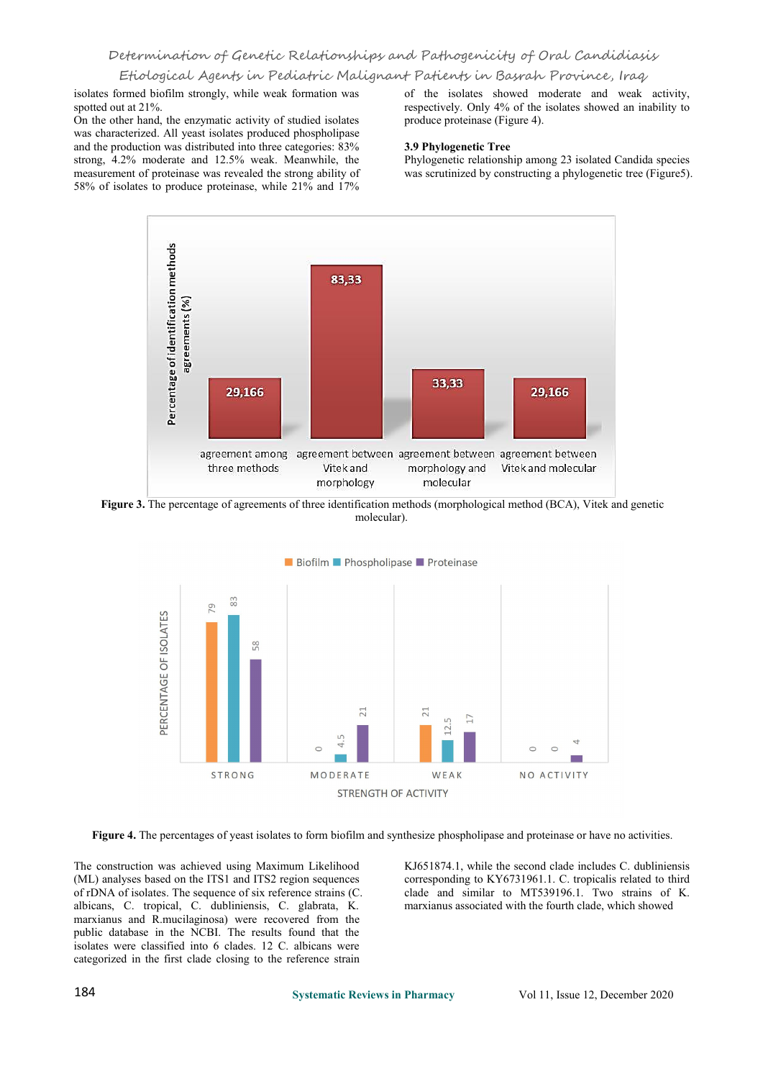isolates formed biofilm strongly, while weak formation was spotted out at 21%.

On the other hand, the enzymatic activity of studied isolates was characterized. All yeast isolates produced phospholipase and the production was distributed into three categories: 83% strong, 4.2% moderate and 12.5% weak. Meanwhile, the measurement of proteinase was revealed the strong ability of 58% of isolates to produce proteinase, while 21% and 17%

of the isolates showed moderate and weak activity, respectively. Only 4% of the isolates showed an inability to produce proteinase (Figure 4).

### **3.9 Phylogenetic Tree**

Phylogenetic relationship among 23 isolated Candida species was scrutinized by constructing a phylogenetic tree (Figure5).



**Figure 3.** The percentage of agreements of three identification methods (morphological method (BCA), Vitek and genetic molecular).



Figure 4. The percentages of yeast isolates to form biofilm and synthesize phospholipase and proteinase or have no activities.

The construction was achieved using Maximum Likelihood (ML) analyses based on the ITS1 and ITS2 region sequences of rDNA of isolates. The sequence of six reference strains (C. albicans, C. tropical, C. dubliniensis, C. glabrata, K. marxianus and R.mucilaginosa) were recovered from the public database in the NCBI. The results found that the isolates were classified into 6 clades. 12 C. albicans were categorized in the first clade closing to the reference strain

KJ651874.1, while the second clade includes C. dubliniensis corresponding to KY6731961.1. C. tropicalis related to third clade and similar to MT539196.1. Two strains of K. marxianus associated with the fourth clade, which showed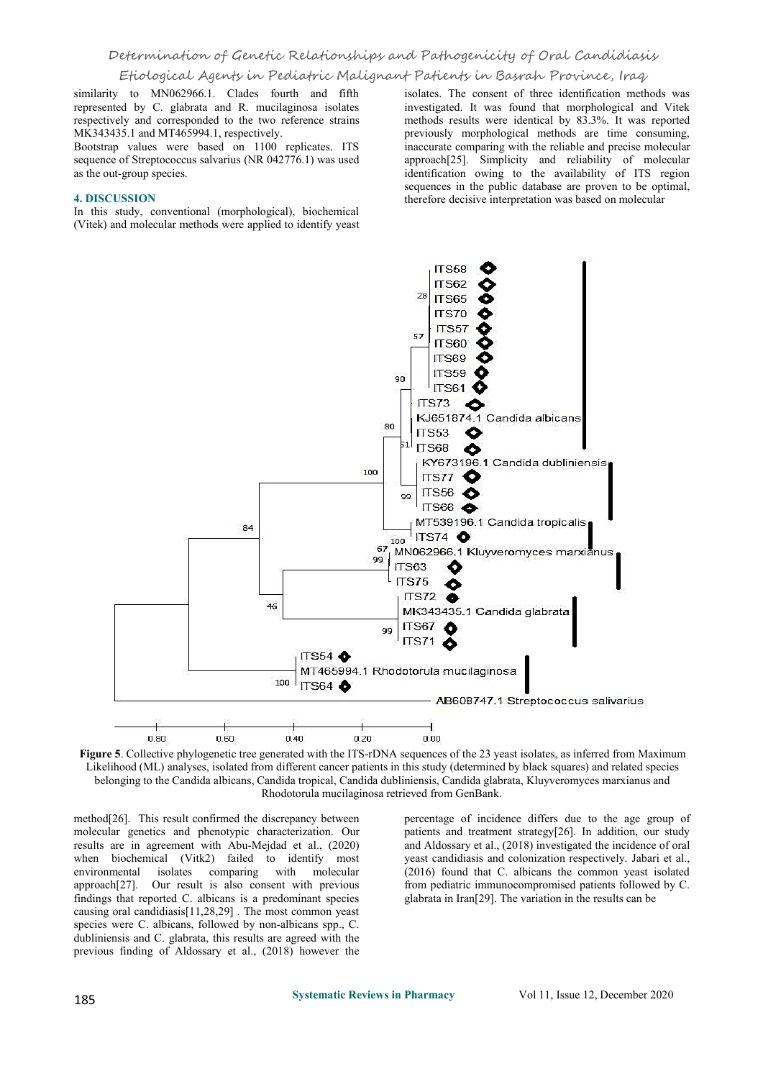# Determination of Genetic Relationships and Pathogenicity of Oral Candidiasis

# Etiological Agents in Pediatric Malignant Patients in Basrah Province, Iraq

similarity to MN062966.1. Clades fourth and fifth represented by C. glabrata and R. mucilaginosa isolates respectively and corresponded to the two reference strains MK343435.1 and MT465994.1, respectively.

Bootstrap values were based on 1100 replicates. ITS sequence of Streptococcus salvarius (NR 042776.1) was used as the out-group species.

### **4. DISCUSSION**

In this study, conventional (morphological), biochemical (Vitek) and molecular methods were applied to identify yeast

isolates. The consent of three identification methods was investigated. It was found that morphological and Vitek methods results were identical by 83.3%. It was reported previously morphological methods are time consuming, inaccurate comparing with the reliable and precise molecular approach[25]. Simplicity and reliability of molecular identification owing to the availability of ITS region sequences in the public database are proven to be optimal, therefore decisive interpretation was based on molecular



**Figure 5**. Collective phylogenetic tree generated with the ITS-rDNA sequences of the 23 yeast isolates, as inferred from Maximum Likelihood (ML) analyses, isolated from different cancer patients in this study (determined by black squares) and related species belonging to the Candida albicans, Candida tropical, Candida dubliniensis, Candida glabrata, Kluyveromyces marxianus and Rhodotorula mucilaginosa retrieved from GenBank.

method[26]. This result confirmed the discrepancy between molecular genetics and phenotypic characterization. Our results are in agreement with Abu-Mejdad et al., (2020) when biochemical (Vitk2) failed to identify most environmental isolates comparing with molecular approach[27]. Our result is also consent with previous findings that reported C. albicans is a predominant species causing oral candidiasis[11,28,29] . The most common yeast species were C. albicans, followed by non-albicans spp., C. dubliniensis and C. glabrata, this results are agreed with the previous finding of Aldossary et al., (2018) however the

percentage of incidence differs due to the age group of patients and treatment strategy[26]. In addition, our study and Aldossary et al., (2018) investigated the incidence of oral yeast candidiasis and colonization respectively. Jabari et al., (2016) found that C. albicans the common yeast isolated from pediatric immunocompromised patients followed by C. glabrata in Iran[29]. The variation in the results can be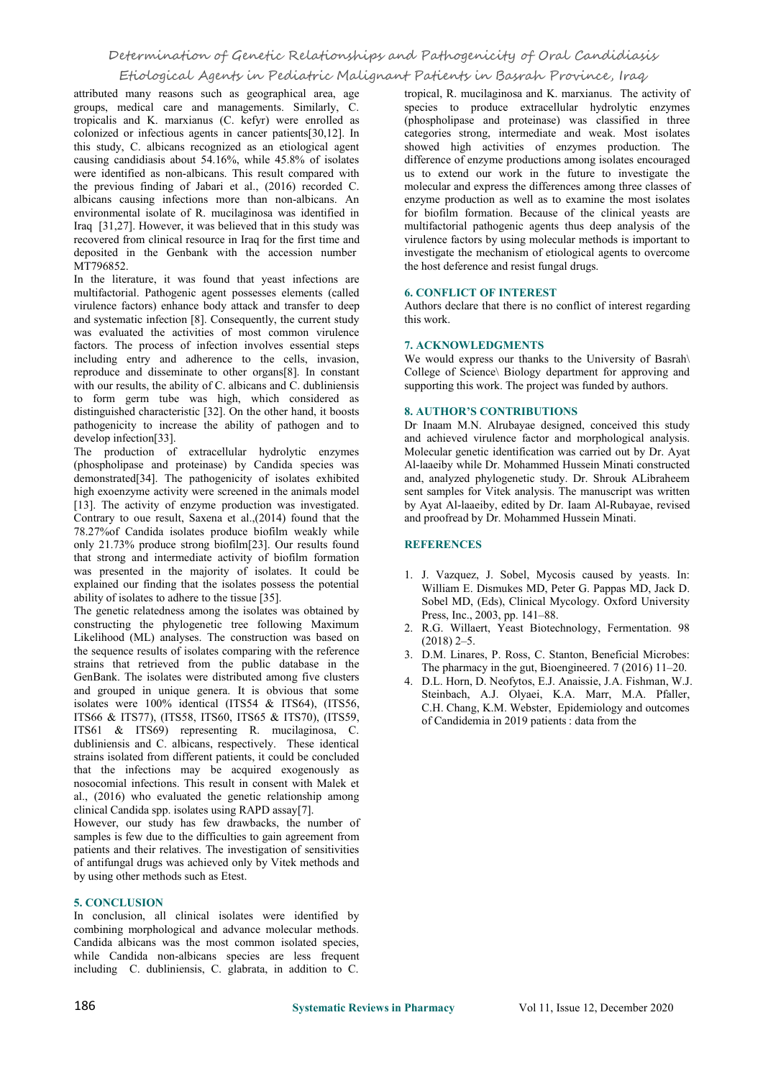# Determination of Genetic Relationships and Pathogenicity of Oral Candidiasis

# Etiological Agents in Pediatric Malignant Patients in Basrah Province, Iraq

attributed many reasons such as geographical area, age groups, medical care and managements. Similarly, C. tropicalis and K. marxianus (C. kefyr) were enrolled as colonized or infectious agents in cancer patients[30,12]. In this study, C. albicans recognized as an etiological agent causing candidiasis about 54.16%, while 45.8% of isolates were identified as non-albicans. This result compared with the previous finding of Jabari et al., (2016) recorded C. albicans causing infections more than non-albicans. An environmental isolate of R. mucilaginosa was identified in Iraq [31,27]. However, it was believed that in this study was recovered from clinical resource in Iraq for the first time and deposited in the Genbank with the accession number MT796852.

In the literature, it was found that yeast infections are multifactorial. Pathogenic agent possesses elements (called virulence factors) enhance body attack and transfer to deep and systematic infection [8]. Consequently, the current study was evaluated the activities of most common virulence factors. The process of infection involves essential steps including entry and adherence to the cells, invasion, reproduce and disseminate to other organs[8]. In constant with our results, the ability of C. albicans and C. dubliniensis to form germ tube was high, which considered as distinguished characteristic [32]. On the other hand, it boosts pathogenicity to increase the ability of pathogen and to develop infection[33].

The production of extracellular hydrolytic enzymes (phospholipase and proteinase) by Candida species was demonstrated[34]. The pathogenicity of isolates exhibited high exoenzyme activity were screened in the animals model [13]. The activity of enzyme production was investigated. Contrary to oue result, Saxena et al., $(2014)$  found that the 78.27%of Candida isolates produce biofilm weakly while only 21.73% produce strong biofilm[23]. Our results found that strong and intermediate activity of biofilm formation was presented in the majority of isolates. It could be explained our finding that the isolates possess the potential ability of isolates to adhere to the tissue  $\overline{[35]}$ .

The genetic relatedness among the isolates was obtained by constructing the phylogenetic tree following Maximum Likelihood (ML) analyses. The construction was based on the sequence results of isolates comparing with the reference strains that retrieved from the public database in the GenBank. The isolates were distributed among five clusters and grouped in unique genera. It is obvious that some isolates were 100% identical (ITS54 & ITS64), (ITS56, ITS66 & ITS77), (ITS58, ITS60, ITS65 & ITS70), (ITS59, ITS61 & ITS69) representing R. mucilaginosa, C. dubliniensis and C. albicans, respectively. These identical strains isolated from different patients, it could be concluded that the infections may be acquired exogenously as nosocomial infections. This result in consent with Malek et al., (2016) who evaluated the genetic relationship among clinical Candida spp. isolates using RAPD assay[7].

However, our study has few drawbacks, the number of samples is few due to the difficulties to gain agreement from patients and their relatives. The investigation of sensitivities of antifungal drugs was achieved only by Vitek methods and by using other methods such as Etest.

# **5. CONCLUSION**

In conclusion, all clinical isolates were identified by combining morphological and advance molecular methods. Candida albicans was the most common isolated species, while Candida non-albicans species are less frequent including C. dubliniensis, C. glabrata, in addition to C.

tropical, R. mucilaginosa and K. marxianus. The activity of species to produce extracellular hydrolytic enzymes (phospholipase and proteinase) was classified in three categories strong, intermediate and weak. Most isolates showed high activities of enzymes production. The difference of enzyme productions among isolates encouraged us to extend our work in the future to investigate the molecular and express the differences among three classes of enzyme production as well as to examine the most isolates for biofilm formation. Because of the clinical yeasts are multifactorial pathogenic agents thus deep analysis of the virulence factors by using molecular methods is important to investigate the mechanism of etiological agents to overcome the host deference and resist fungal drugs.

### **6. CONFLICT OF INTEREST**

Authors declare that there is no conflict of interest regarding this work.

# **7. ACKNOWLEDGMENTS**

We would express our thanks to the University of Basrah\ College of Science\ Biology department for approving and supporting this work. The project was funded by authors.

### **8. AUTHOR'S CONTRIBUTIONS**

Dr . Inaam M.N. Alrubayae designed, conceived this study and achieved virulence factor and morphological analysis. Molecular genetic identification was carried out by Dr. Ayat Al-laaeiby while Dr. Mohammed Hussein Minati constructed and, analyzed phylogenetic study. Dr. Shrouk ALibraheem sent samples for Vitek analysis. The manuscript was written by Ayat Al-laaeiby, edited by Dr. Iaam Al-Rubayae, revised and proofread by Dr. Mohammed Hussein Minati.

# **REFERENCES**

- 1. J. Vazquez, J. Sobel, Mycosis caused by yeasts. In: William E. Dismukes MD, Peter G. Pappas MD, Jack D. Sobel MD, (Eds), Clinical Mycology. Oxford University Press, Inc., 2003, pp. 141–88.
- 2. R.G. Willaert, Yeast Biotechnology, Fermentation. 98  $(2018)$  2–5.
- 3. D.M. Linares, P. Ross, C. Stanton, Beneficial Microbes: The pharmacy in the gut, Bioengineered. 7 (2016) 11–20.
- 4. D.L. Horn, D. Neofytos, E.J. Anaissie, J.A. Fishman, W.J. Steinbach, A.J. Olyaei, K.A. [Marr](https://www.unboundmedicine.com/medline/?st=M&author=Marr%20KA), M.A. [Pfaller](https://www.unboundmedicine.com/medline/?st=M&author=Pfaller%20MA), C.H. [Chang](https://www.unboundmedicine.com/medline/?st=M&author=Chang%20CH), K.M. [Webster](https://www.unboundmedicine.com/medline/?st=M&author=Webster%20KM), Epidemiology and outcomes of Candidemia in 2019 patients : data from the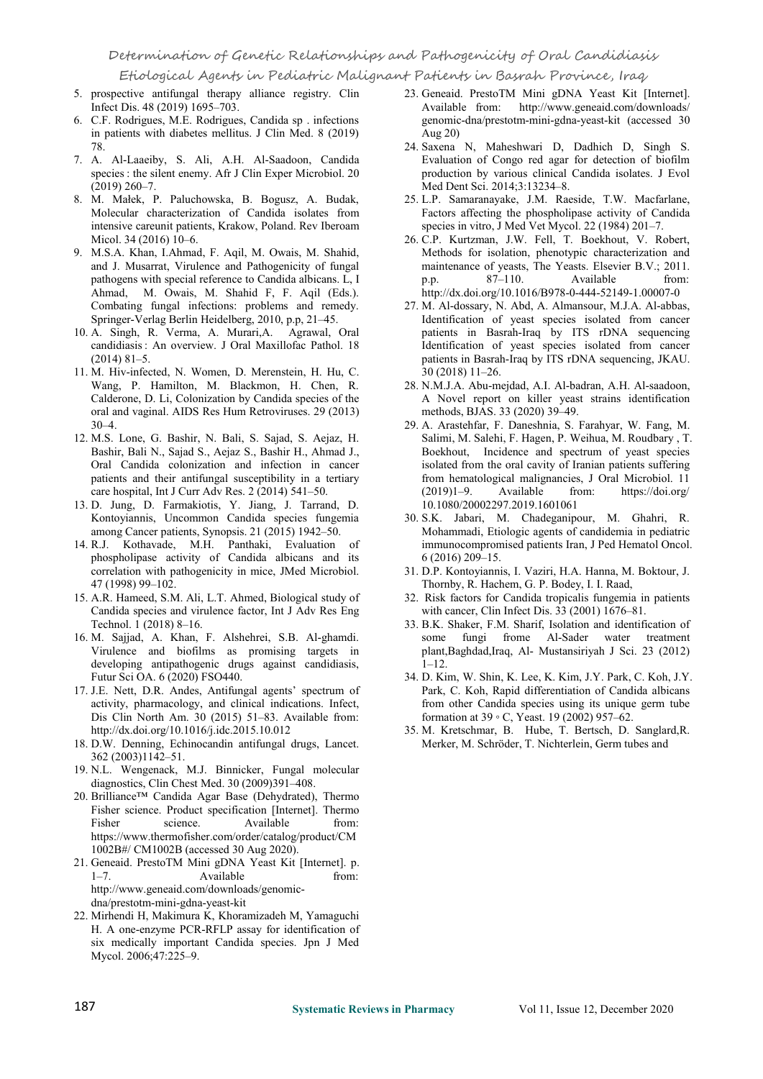- 5. prospective antifungal therapy alliance registry. Clin Infect Dis. 48 (2019) 1695–703.
- 6. C.F. Rodrigues, M.E. Rodrigues, Candida sp . infections in patients with diabetes mellitus. J Clin Med. 8 (2019) 78.
- 7. A. Al-Laaeiby, S. Ali, A.H. Al-Saadoon, Candida species : the silent enemy. Afr J Clin Exper Microbiol. 20 (2019) 260–7.
- 8. M. Małek, P. Paluchowska, B. Bogusz, A. Budak, Molecular characterization of Candida isolates from intensive careunit patients, Krakow, Poland. Rev Iberoam Micol. 34 (2016) 10–6.
- 9. M.S.A. Khan, I.Ahmad, F. Aqil, M. Owais, M. Shahid, and J. Musarrat, Virulence and Pathogenicity of fungal pathogens with special reference to Candida albicans. L, I Ahmad, M. Owais, M. Shahid F, F. Aqil (Eds.). Combating fungal infections: problems and remedy. Springer-Verlag Berlin Heidelberg, 2010, p.p, 21–45.
- 10. A. Singh, R. Verma, A. Murari,A. Agrawal, Oral candidiasis : An overview. J Oral Maxillofac Pathol. 18 (2014) 81–5.
- 11. M. Hiv-infected, N. Women, D. Merenstein, H. Hu, C. Wang, P. Hamilton, M. Blackmon, H. Chen, R. Calderone, D. Li, Colonization by Candida species of the oral and vaginal. AIDS Res Hum Retroviruses. 29 (2013)  $30-4.$
- 12. M.S. Lone, G. Bashir, N. Bali, S. Sajad, S. Aejaz, H. Bashir, Bali N., Sajad S., Aejaz S., Bashir H., Ahmad J., Oral Candida colonization and infection in cancer patients and their antifungal susceptibility in a tertiary care hospital, Int J Curr Adv Res. 2 (2014) 541-50.
- 13. D. Jung, D. Farmakiotis, Y. Jiang, J. Tarrand, D. Kontoyiannis, Uncommon Candida species fungemia among Cancer patients, Synopsis. 21 (2015) 1942–50.
- 14. R.J. Kothavade, M.H. Panthaki, Evaluation of phospholipase activity of Candida albicans and its correlation with pathogenicity in mice, JMed Microbiol. 47 (1998) 99–102.
- 15. A.R. Hameed, S.M. Ali, L.T. Ahmed, Biological study of Candida species and virulence factor, Int J Adv Res Eng Technol. 1 (2018) 8–16.
- 16. M. Sajjad, A. Khan, F. Alshehrei, S.B. Al-ghamdi. Virulence and biofilms as promising targets in developing antipathogenic drugs against candidiasis, Futur Sci OA. 6 (2020) FSO440.
- 17. J.E. Nett, D.R. Andes, Antifungal agents' spectrum of activity, pharmacology, and clinical indications. Infect, Dis Clin North Am.  $30$  (2015) 51–83. Available from: http://dx.doi.org/10.1016/j.idc.2015.10.012
- 18. D.W. Denning, Echinocandin antifungal drugs, Lancet. 362 (2003)1142–51.
- 19. N.L. Wengenack, M.J. Binnicker, Fungal molecular diagnostics, Clin Chest Med. 30 (2009)391–408.
- 20. Brilliance™ Candida Agar Base (Dehydrated), Thermo Fisher science. Product specification [Internet]. Thermo Fisher science. Available from: https://www.thermofisher.com/order/catalog/product/CM<br>1002B#/ CM1002B (accessed 30 Aug 2020).
- 21. Geneaid. PrestoTM Mini gDNA Yeast Kit [Internet]. p. 1–7. Available from: http://www.geneaid.com/downloads/genomic dna/prestotm-mini-gdna-yeast-kit
- 22. Mirhendi H, Makimura K, Khoramizadeh M, Yamaguchi H. A one-enzyme PCR-RFLP assay for identification of six medically important Candida species.Jpn J Med Mycol. 2006;47:225–9.
- 23. Geneaid. PrestoTM Mini gDNA Yeast Kit [Internet]. Available from: http://www.geneaid.com/downloads/ genomic-dna/prestotm-mini-gdna-yeast-kit (accessed 30 Aug 20)
- 24. Saxena N, Maheshwari D, Dadhich D, Singh S. Evaluation of Congo red agar for detection of biofilm production by various clinical Candida isolates.J Evol Med Dent Sci. 2014;3:13234–8.
- 25. L.P. Samaranayake, J.M. Raeside, T.W. Macfarlane, Factors affecting the phospholipase activity of Candida species in vitro, J Med Vet Mycol.22 (1984) 201–7.
- 26. C.P. Kurtzman, J.W. Fell, T. Boekhout, V. Robert, Methods for isolation, phenotypic characterization and maintenance of yeasts, The Yeasts. Elsevier B.V.; 2011.  $87-110$ . Available from: http://dx.doi.org/10.1016/B978-0-444-52149-1.00007-0
- 27. M. Al-dossary, N. Abd, A. Almansour, M.J.A. Al-abbas, Identification of yeast species isolated from cancer patients in Basrah-Iraq by ITS rDNA sequencing Identification of yeast species isolated from cancer patients in Basrah-Iraq by ITS rDNA sequencing, JKAU. 30 (2018) 11–26.
- 28. N.M.J.A. Abu-mejdad, A.I. Al-badran, A.H. Al-saadoon, A Novel report on killer yeast strains identification methods, BJAS. 33 (2020) 39–49.
- 29. A. Arastehfar, F. Daneshnia, S. Farahyar, W. Fang, M. Salimi, M. Salehi, F. Hagen, P. Weihua, M. Roudbary , T. Boekhout, Incidence and spectrum of yeast species isolated from the oral cavity of Iranian patients suffering from hematological malignancies, J Oral Microbiol. 11 (2019)1–9. Available from: https://doi.org/ 10.1080/20002297.2019.1601061
- 30. S.K. Jabari, M. Chadeganipour, M. Ghahri, R. Mohammadi, Etiologic agents of candidemia in pediatric immunocompromised patients Iran, J Ped Hematol Oncol. 6 (2016) 209–15.
- 31. D.P. Kontoyiannis, I. Vaziri, H.A. Hanna, M. Boktour, J. Thornby, R. Hachem, G. P. Bodey, I. I. Raad,
- 32. Risk factors for Candida tropicalis fungemia in patients with cancer, Clin Infect Dis. 33 (2001) 1676–81.
- 33. B.K. Shaker, F.M. Sharif, Isolation and identification of some fungi frome Al-Sader water treatment plant,Baghdad,Iraq, Al- Mustansiriyah J Sci. 23 (2012) 1–12.
- 34. D. Kim, W. Shin, K. Lee, K. Kim, J.Y. Park, C. Koh, J.Y. Park, C. Koh, Rapid differentiation of Candida albicans from other Candida species using its unique germ tube formation at 39 ◦ C, Yeast. 19 (2002) 957–62.
- 35. M. Kretschmar, B. Hube, T. Bertsch, D. Sanglard,R. Merker, M. Schröder, T. Nichterlein, Germ tubes and